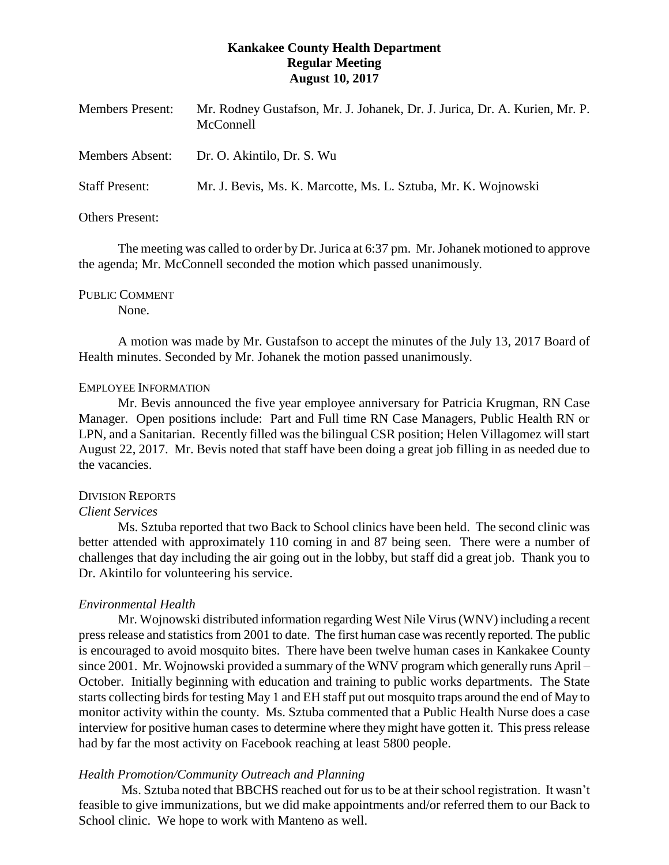# **Kankakee County Health Department Regular Meeting August 10, 2017**

| <b>Members Present:</b>                         | Mr. Rodney Gustafson, Mr. J. Johanek, Dr. J. Jurica, Dr. A. Kurien, Mr. P.<br>McConnell      |
|-------------------------------------------------|----------------------------------------------------------------------------------------------|
| <b>Members Absent:</b><br><b>Staff Present:</b> | Dr. O. Akintilo, Dr. S. Wu<br>Mr. J. Bevis, Ms. K. Marcotte, Ms. L. Sztuba, Mr. K. Wojnowski |
|                                                 |                                                                                              |

Others Present:

The meeting was called to order by Dr. Jurica at 6:37 pm. Mr. Johanek motioned to approve the agenda; Mr. McConnell seconded the motion which passed unanimously.

PUBLIC COMMENT

None.

A motion was made by Mr. Gustafson to accept the minutes of the July 13, 2017 Board of Health minutes. Seconded by Mr. Johanek the motion passed unanimously.

### EMPLOYEE INFORMATION

Mr. Bevis announced the five year employee anniversary for Patricia Krugman, RN Case Manager. Open positions include: Part and Full time RN Case Managers, Public Health RN or LPN, and a Sanitarian. Recently filled was the bilingual CSR position; Helen Villagomez will start August 22, 2017. Mr. Bevis noted that staff have been doing a great job filling in as needed due to the vacancies.

### DIVISION REPORTS

### *Client Services*

Ms. Sztuba reported that two Back to School clinics have been held. The second clinic was better attended with approximately 110 coming in and 87 being seen. There were a number of challenges that day including the air going out in the lobby, but staff did a great job. Thank you to Dr. Akintilo for volunteering his service.

# *Environmental Health*

Mr. Wojnowski distributed information regarding West Nile Virus(WNV) including a recent press release and statistics from 2001 to date. The first human case was recently reported. The public is encouraged to avoid mosquito bites. There have been twelve human cases in Kankakee County since 2001. Mr. Wojnowski provided a summary of the WNV program which generally runs April – October. Initially beginning with education and training to public works departments. The State starts collecting birds for testing May 1 and EH staff put out mosquito traps around the end of May to monitor activity within the county. Ms. Sztuba commented that a Public Health Nurse does a case interview for positive human cases to determine where they might have gotten it. This press release had by far the most activity on Facebook reaching at least 5800 people.

# *Health Promotion/Community Outreach and Planning*

Ms. Sztuba noted that BBCHS reached out for us to be at their school registration. It wasn't feasible to give immunizations, but we did make appointments and/or referred them to our Back to School clinic. We hope to work with Manteno as well.